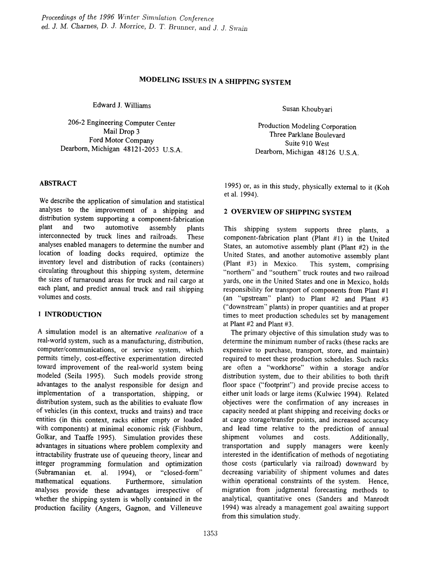# MODELING ISSUES IN A SHIPPING SYSTEM

Edward 1. Williams

206-2 Engineering Computer Center Mail Drop 3 Ford Motor Company Dearborn, Michigan 48121-2053 U.S.A.

#### ABSTRACT

We describe the application of simulation and statistical analyses to the improvement of a shipping and distribution system supporting a component-fabrication<br>plant and two automotive assembly plants plant and two automotive assembly plants interconnected by truck lines and railroads. These analyses enabled managers to determine the number and location of loading docks required, optimize the inventory level and distribution of racks (containers) circulating throughout this shipping system, determine the sizes of turnaround areas for truck and rail cargo at each plant, and predict annual truck and rail shipping volumes and costs.

## 1 INTRODUCTION

A simulation model is an alternative *realization* of a real-world system, such as a manufacturing, distribution, computer/communications, or service system, which permits timely, cost-effective experimentation directed toward improvement of the real-world system being modeled (Seila 1995). Such models provide strong advantages to the analyst responsible for design and implementation of a transportation, shipping, or distribution system, such as the abilities to evaluate flow of vehicles (in this context, trucks and trains) and trace entities (in this context, racks either empty or loaded with components) at minimal economic risk (Fishburn, Golkar, and Taaffe 1995). Simulation provides these advantages in situations where problem complexity and intractability frustrate use of queueing theory, linear and integer programming formulation and optimization<br>(Subramanian et. al. 1994), or "closed-form" (Subramanian et. al. 1994), or "closed-form" mathematical equations. Furthermore, simulation Furthermore, simulation analyses provide these advantages irrespective of whether the shipping system is wholly contained in the production facility (Angers, Gagnon, and Villeneuve

Susan Khoubyari

Production Modeling Corporation Three Parklane Boulevard Suite 910 West Dearborn, Michigan 48126 U.S.A.

1995) or, as in this study, physically external to it (Koh et a1. 1994).

## 2 OVERVIEW OF SHIPPING SYSTEM

This shipping system supports three plants, a component-fabrication plant (Plant #1) in the United States, an automotive assembly plant (Plant #2) in the United States, and another automotive assembly plant (Plant #3) in Mexico. This system, comprising "northern" and "southern" truck routes and two railroad yards, one in the United States and one in Mexico, holds responsibility for transport of components from Plant #1 (an "upstream" plant) to Plant #2 and Plant #3 ("downstream" plants) in proper quantities and at proper times to meet production schedules set by management at Plant #2 and Plant #3.

The primary objective of this simulation study was to determine the minimum number of racks (these racks are expensive to purchase, transport, store, and maintain) required to meet these production schedules. Such racks are often a "workhorse" within a storage and/or distribution system, due to their abilities to both thrift floor space ("footprint") and provide precise access to either unit loads or large items (Kulwiec 1994). Related objectives were the confinnation of any increases in capacity needed at plant shipping and receiving docks or at cargo storage/transfer points, and increased accuracy and lead time relative to the prediction of annual shipment volumes and costs. Additionally, transportation and supply managers were keenly interested in the identification of methods of negotiating those costs (particularly via railroad) downward by decreasing variability of shipment volumes and dates within operational constraints of the system. Hence, migration from judgmental forecasting methods to analytical, quantitative ones (Sanders and Manrodt 1994) was already a management goal awaiting support from this simulation study.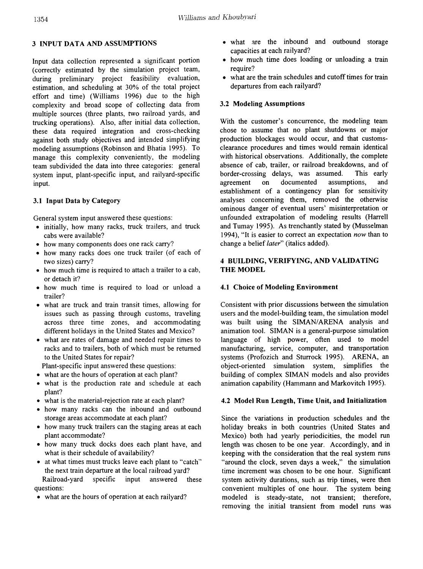## 3 INPUT DATA AND ASSUMPTIONS

Input data collection represented a significant portion (correctly estimated by the simulation project team, during preliminary project feasibility evaluation, estimation, and scheduling at 30% of the total project effort and time) (Williams 1996) due to the high complexity and broad scope of collecting data from multiple sources (three plants, two railroad yards, and trucking operations). Also, after initial data collection, these data required integration and cross-checking against both study objectives and intended simplifying modeling assumptions (Robinson and Bhatia 1995). To manage this complexity conveniently, the modeling team subdivided the data into three categories: general system input, plant-specific input, and railyard-specific input.

## 3.1 Input Data by Category

General system input answered these questions:

- initially, how many racks, truck trailers, and truck cabs were available?
- how many components does one rack carry?
- how many racks does one truck trailer (of each of two sizes) carry?
- how much time is required to attach a trailer to a cab, or detach it?
- how much time is required to load or unload a trailer?
- what are truck and train transit times, allowing for issues such as passing through customs, traveling across three time zones, and accommodating different holidays in the United States and Mexico?
- what are rates of damage and needed repair times to racks and to trailers, both of which must be returned to the United States for repair?
- Plant-specific input answered these questions:
- what are the hours of operation at each plant?
- what is the production rate and schedule at each plant?
- what is the material-rejection rate at each plant?
- how many racks can the inbound and outbound storage areas accommodate at each plant?
- how many truck trailers can the staging areas at each plant accommodate?
- how many truck docks does each plant have, and what is their schedule of availability?
- at what times must trucks leave each plant to "catch" the next train departure at the local railroad yard? Railroad-yard specific input answered these questions:
- what are the hours of operation at each railyard?
- what are the inbound and outbound storage capacities at each railyard?
- how much time does loading or unloading a train require?
- what are the train schedules and cutoff times for train departures from each railyard?

#### 3.2 Modeling Assumptions

With the customer's concurrence, the modeling team chose to assume that no plant shutdowns or major production blockages would occur, and that customsclearance procedures and times would remain identical with historical observations. Additionally, the complete absence of cab, trailer, or railroad breakdowns, and of border-crossing delays, was assumed. This early agreement on documented assumptions, and establishment of a contingency plan for sensitivity analyses concerning them, removed the otherwise ominous danger of eventual users' misinterpretation or unfounded extrapolation of modeling results (Harrell and Tumay 1995). As trenchantly stated by (Musselman 1994), "It is easier to correct an expectation now than to change a belief*later"* (italics added).

#### 4 BUILDING, VERIFYING, AND VALIDATING THE MODEL

#### 4.1 Choice of Modeling Environment

Consistent with prior discussions between the simulation users and the model-building team, the simulation model was built using the SIMAN/ARENA analysis and animation tool. SIMAN is a general-purpose simulation language of high power, often used to model manufacturing, service, computer, and transportation systems (Profozich and Sturrock 1995). ARENA, an object-oriented simulation system, simplifies the building of complex SIMAN models and also provides animation capability (Hammann and Markovitch 1995).

#### 4.2 Model Run Length, Time Unit, and Initialization

Since the variations in production schedules and the holiday breaks in both countries (United States and Mexico) both had yearly periodicities, the model run length was chosen to be one year. Accordingly, and in keeping with the consideration that the real system runs "around the clock, seven days a week," the simulation time increment was chosen to be one hour. Significant system activity durations, such as trip times, were then convenient multiples of one hour. The system being modeled is steady-state, not transient; therefore, removing the initial transient from model runs was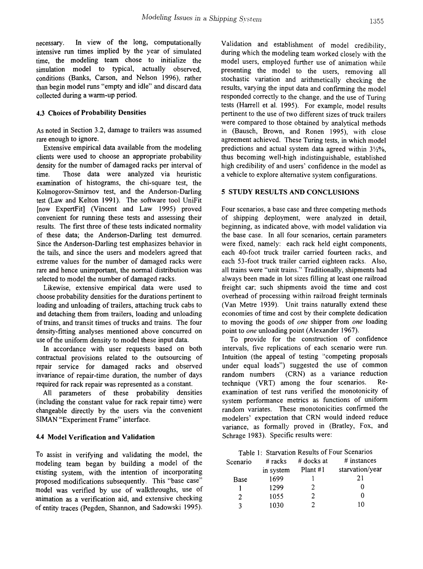necessary. In view of the long, computationally intensive run times implied by the year of simulated time, the modeling team chose to initialize the simulation model to typical, actually observed, conditions (Banks, Carson, and Nelson 1996), rather than begin model runs "empty and idle" and discard data collected during a warm-up period.

#### 4.3 Choices of Probability Densities

As noted in Section 3.2, damage to trailers was assumed rare enough to ignore.

Extensive empirical data available from the modeling clients were used to choose an appropriate probability density for the number of damaged racks per interval of time. Those data were analyzed via heuristic examination of histograms, the chi-square test, the Kolmogorov-Smirnov test, and the Anderson-Darling test (Law and Kelton 1991). The software tool UniFit [now ExpertFit] (Vincent and Law 1995) proved convenient for running these tests and assessing their results. The frrst three of these tests indicated normality of these data; the Anderson-Darling test demurred. Since the Anderson-Darling test emphasizes behavior in the tails, and since the users and modelers agreed that extreme values for the number of damaged racks were rare and hence unimportant, the normal distribution was selected to model the number of damaged racks.

Likewise, extensive empirical data were used to choose probability densities for the durations pertinent to loading and unloading of trailers, attaching truck cabs to and detaching them from trailers, loading and unloading of trains, and transit times of trucks and trains. The four density-fitting analyses mentioned above concurred on use of the uniform density to model these input data.

In accordance with user requests based on both contractual provisions related to the outsourcing of repair service for damaged racks and observed invariance of repair-time duration, the number of days required for rack repair was represented as a constant.

All parameters of these probability densities (including the constant value for rack repair time) were changeable directly by the users via the convenient SIMAN "Experiment Frame" interface.

#### 4.4 Model Verification and Validation

To assist in verifying and validating the model, the modeling team began by building a model of the existing system, with the intention of incorporating proposed modifications subsequently. This "base case" model was verified by use of walkthroughs, use of animation as a verification aid, and extensive checking of entity traces (Pegden, Shannon, and Sadowski 1995). Validation and establishment of model credibility, during which the modeling team worked closely with the model users, employed further use of animation while presenting the model to the users, removing all stochastic variation and arithmetically checking the results, varying the input data and confrrming the model responded correctly to the change, and the use of Turing tests (Harrell et al. 1995). For example, model results pertinent to the use of two different sizes of truck trailers were compared to those obtained by analytical methods in (Bausch, Brown, and Ronen 1995), with close agreement achieved. These Turing tests, in which model predictions and actual system data agreed within  $3\frac{1}{2}\%$ , thus becoming well-high indistinguishable, established high credibility of and users' confidence in the model as a vehicle to explore alternative system configurations.

#### 5 STUDY RESULTS AND CONCLUSIONS

Four scenarios, a base case and three competing methods of shipping deployment, were analyzed in detail, beginning, as indicated above, with model validation via the base case. In all four scenarios, certain parameters were fixed, namely: each rack held eight components, each 40-foot truck trailer carried fourteen racks, and each 53-foot truck trailer carried eighteen racks. Also, all trains were "unit trains." Traditionally, shipments had always been made in lot sizes filling at least one railroad freight car; such shipments avoid the time and cost overhead of processing within railroad freight terminals (Van Metre 1939). Unit trains naturally extend these economies of time and cost by their complete dedication to moving the goods of *one* shipper from *one* loading point to *one* unloading point (Alexander 1967).

To provide for the construction of confidence intervals, five replications of each scenario were run. Intuition (the appeal of testing "competing proposals under equal loads") suggested the use of common random numbers (CRN) as a variance reduction technique (VRT) among the four scenarios. Reexamination of test runs verified the monotonicity of system performance metrics as functions of uniform random variates. These monotonicities confrrmed the modelers' expectation that CRN would indeed reduce variance, as formally proved in (Bratley, Fox, and Schrage 1983). Specific results were:

|  | Table 1: Starvation Results of Four Scenarios |  |  |  |
|--|-----------------------------------------------|--|--|--|
|--|-----------------------------------------------|--|--|--|

| Scenario | # racks   | # docks at | # instances     |
|----------|-----------|------------|-----------------|
|          | in system | Plant $#1$ | starvation/year |
| Base     | 1699      |            | 21              |
|          | 1299      | 2          |                 |
| 2        | 1055      | 7          |                 |
| 2        | 1030      | 7          | 10              |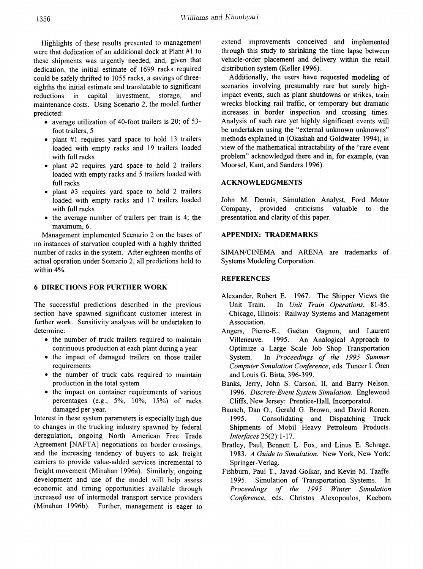Highlights of these results presented to management were that dedication of an additional dock at Plant #1 to these shipments was urgently needed, and, given that dedication, the initial estimate of 1699 racks required could be safely thrifted to 1055 racks, a savings of threeeighths the initial estimate and translatable to significant reductions in capital investment, storage, and maintenance costs. Using Scenario 2, the model further predicted:

- average utilization of 40-foot trailers is 20; of 53 foot trailers, 5
- plant #1 requires yard space to hold 13 trailers loaded with empty racks and 19 trailers loaded with full racks
- plant #2 requires yard space to hold 2 trailers loaded with empty racks and 5 trailers loaded with full racks
- plant #3 requires yard space to hold 2 trailers loaded with empty racks and 17 trailers loaded with full racks
- the average number of trailers per train is 4; the maximum, 6.

Management implemented Scenario 2 on the bases of no instances of starvation coupled with a highly thrifted number of racks in the system. After eighteen months of actual operation under Scenario 2, all predictions held to within 4%.

#### 6 DIRECTIONS FOR FURTHER WORK

The successful predictions described in the previous section have spawned significant customer interest in further work. Sensitivity analyses will be undertaken to determine:

- the number of truck trailers required to maintain continuous production at each plant during a year
- the impact of damaged trailers on those trailer requirements
- the number of truck cabs required to maintain production in the total system
- the impact on container requirements of various percentages (e.g.,  $5\%$ ,  $10\%$ ,  $15\%$ ) of racks damaged per year.

Interest in these system parameters is especially high due to changes in the trucking industry spawned by federal deregulation, ongoing North American Free Trade Agreement [NAFTA] negotiations on border crossings, and the increasing tendency of buyers to ask freight carriers to provide value-added services incremental to freight movement (Minahan 1996a). Similarly, ongoing development and use of the model will help assess economic and timing opportunities available through increased use of intermodal transport service providers (Minahan 1996b). Further, management is eager to extend improvements conceived and implemented through this study to shrinking the time lapse between vehicle-order placement and delivery within the retail distribution system (Keller 1996).

Additionally, the users have requested modeling of scenarios involving presumably rare but surely highimpact events, such as plant shutdowns or strikes, train wrecks blocking rail traffic, or temporary but dramatic increases in border inspection and crossing times. Analysis of such rare yet highly significant events will be undertaken using the "external unknown unknowns" methods explained in (Okashah and Goldwater 1994), in view of the mathematical intractability of the "rare event problem" acknowledged there and in, for example, (van Moorsel, Kant, and Sanders 1996).

## ACKNOWLEDGMENTS

John M. Dennis, Simulation Analyst, Ford Motor Company, provided criticisms valuable to the presentation and clarity of this paper.

## APPENDIX: TRADEMARKS

SIMAN/CINEMA and ARENA are trademarks of Systems Modeling Corporation.

## REFERENCES

- Alexander, Robert E. 1967. The Shipper Views the Unit Train. In *Unit Train Operations, 81-85.* Chicago, Illinois: Railway Systems and Management Association.
- Angers, Pierre-E., Gaétan Gagnon, and Laurent Villeneuve. 1995. An Analogical Approach to Optimize a Large ScaJe Job Shop Transportation System. In *Proceedings of the* 1995 *Summer Computer Simulation Conference,* eds. Tuncer 1. Oren and Louis G. Birta, 396-399.
- Banks, Jerry, John S. Carson, II, and Barry Nelson. *1996. Discrete-Event System Simulation.* Englewood Cliffs, New Jersey: Prentice-Hall, Incorporated.
- Bausch, Dan 0., Gerald G. Brown, and David Ronen. 1995. Consolidating and Dispatching Truck Shipments of Mobil Heavy Petroleum Products. *Interfaces* 25(2): 1-17.
- Bratley, Paul, Bennett L. Fox, and Linus E. Schrage. *1983. A Guide to Simulation.* New York, New York: Springer-Verlag.
- Fishburn, Paul T., Javad Golkar, and Kevin M. Taaffe. 1995. Simulation of Transportation Systems. In *Proceedings of the* 1995 *Winter Simulation Conference,* eds. Christos Alexopoulos, Keebom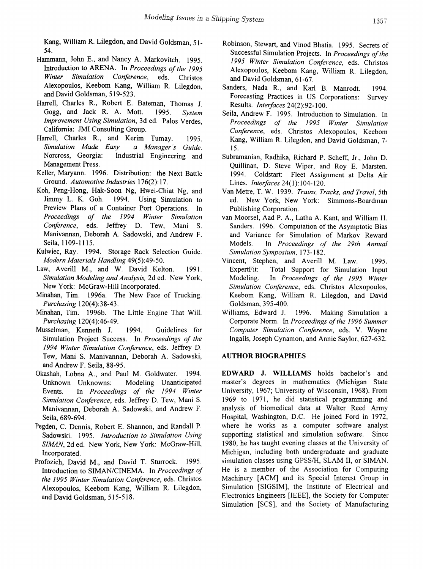Kang, William R. Lilegdon, and David Goldsman, 51- 54.

- Hammann, John E., and Nancy A. Markovitch. 1995. Introduction to ARENA. In *Proceedings of the 1995*<br>*Winter Simulation Conference*, eds. Christos *Conference*, eds. Christos Alexopoulos, Keebom Kang, William R. Lilegdon, and David Goldsman, 519-523.
- Harrell, Charles R., Robert E. Bateman, Thomas J. Gogg, and Jack R. A. Mott. 1995. *System Improvement Using Simulation,* 3d ed. Palos Verdes, California: JMI Consulting Group.
- Harrell, Charles R., and Kerim Tumay. 1995. *Simulation Made Easy a Manager's Guide.* Norcross, Georgia: Industrial Engineering and Management Press.
- Keller, Maryann. 1996. Distribution: the Next Battle Ground. *Automotive Industries* 176(2): 17.
- Koh, Peng-Hong, Hak-Soon Ng, Hwei-Chiat Ng, and Jimmy L. K. Goh. 1994. Using Simulation to Preview Plans of a Container Port Operations. In *Proceedings of the* 1994 *Winter Simulation Conference,* eds. Jeffrey D. Tew, Mani S. Manivannan, Deborah A. Sadowski, and Andrew F. Seila, 1109-1115.
- Kulwiec, Ray. 1994. Storage Rack Selection Guide. *Modern Materials Handling* 49(5):49-50.
- Law, Averill M., and W. David Kelton. 1991. *Simulation Modeling and Analysis,* 2d ed. New York, New York: McGraw-Hill Incorporated.
- Minahan, Tim. 1996a. The New Face of Trucking. *Purchasing* 120(4):38-43.
- Minahan, Tim. 1996b. The Little Engine That Will. *Purchasing* 120(4):46-49.
- Musselman, Kenneth J. 1994. Guidelines for Simulation Project Success. In *Proceedings of the 1994 Winter Simulation Conference,* eds. Jeffrey D. Tew, Mani S. Manivannan, Deborah A. Sadowski, and Andrew F. Seila, 88-95.
- Okashah, Lobna A., and Paul M. Goldwater. 1994. Unknown Unknowns: Modeling Unanticipated Events. In *Proceedings of the* 1994 *Winter Simulation Conference,* eds. Jeffrey D. Tew, Mani S. Manivannan, Deborah A. Sadowski, and Andrew F. Seila, 689-694.
- Pegden, C. Dennis, Robert E. Shannon, and Randall P. Sadowski. 1995. *Introduction to Simulation Using SIMAN,* 2d ed. New York, New York: McGraw-Hill, Incorporated.
- Profozich, David M., and David T. Sturrock. 1995. Introduction to SIMAN/CINEMA. In *Proceedings of the* 1995 *Winter Simulation Conference,* eds. Christos Alexopoulos, Keebom Kang, William R. Lilegdon, and David Goldsman, 515-518.
- Robinson, Stewart, and Vinod Bhatia. 1995. Secrets of Successful Simulation Projects. In *Proceedings of the 1995 Winter Simulation Conference,* eds. Christos Alexopoulos, Keebom Kang, William R. Lilegdon, and David Goldsman, 61-67.
- Sanders, Nada R., and Karl B. Manrodt. 1994. Forecasting Practices in US Corporations: Survey Results. *Interfaces* 24(2):92-100.
- Seila, Andrew F. 1995. Introduction to Simulation. In *Proceedings of the* 1995 *Winter Simulation Conference,* eds. Christos Alexopoulos, Keebom Kang, William R. Lilegdon, and David Goldsman, 7- 15.
- Subramanian, Radhika, Richard P. Scheff, Jr., John D. Quillinan, D. Steve Wiper, and Roy E. Marsten. 1994. Coldstart: Fleet Assignment at Delta Air Lines. *Interfaces* 24(1):104-120.
- Van Metre, T. W. 1939. *Trains, Tracks, and Travel,* 5th ed. New York, New York: Simmons-Boardman Publishing Corporation.
- van Moorsel, Aad P. A., Latha A. Kant, and William H. Sanders. 1996. Computation of the Asymptotic Bias and Variance for Simulation of Markov Reward Models. In *Proceedings of the 29th Annual Simulation Symposium,* 173-182.
- Vincent, Stephen, and Averill M. Law. 1995. ExpertFit: Total Support for Simulation Input Modeling. In *Proceedings of the* 1995 *Winter Simulation Conference,* eds. Christos Alexopoulos, Keebom Kang, William R. Lilegdon, and David Goldsman, 395-400.
- Williams, Edward 1. 1996. Making Simulation a Corporate Norm. In *Proceedings of the 1996 Summer Computer Simulation Conference,* eds. V. Wayne Ingalls, Joseph Cynamon, and Annie Saylor, 627-632.

#### AUTHOR BIOGRAPHIES

EDWARD J. WILLIAMS holds bachelor's and master's degrees in mathematics (Michigan State University, 1967; University of Wisconsin, 1968). From 1969 to 1971, he did statistical programming and analysis of biomedical data at Walter Reed Army Hospital, Washington, D.C. He joined Ford in 1972, where he works as a computer software analyst supporting statistical and simulation software. Since 1980, he has taught evening classes at the University of Michigan, including both undergraduate and graduate simulation classes using GPSS/H, SLAM II, or SIMAN. He is a member of the Association for Computing Machinery [ACM] and its Special Interest Group in Simulation [SIGSIM], the Institute of Electrical and Electronics Engineers [IEEE], the Society for Computer Simulation [SCS], and the Society of Manufacturing